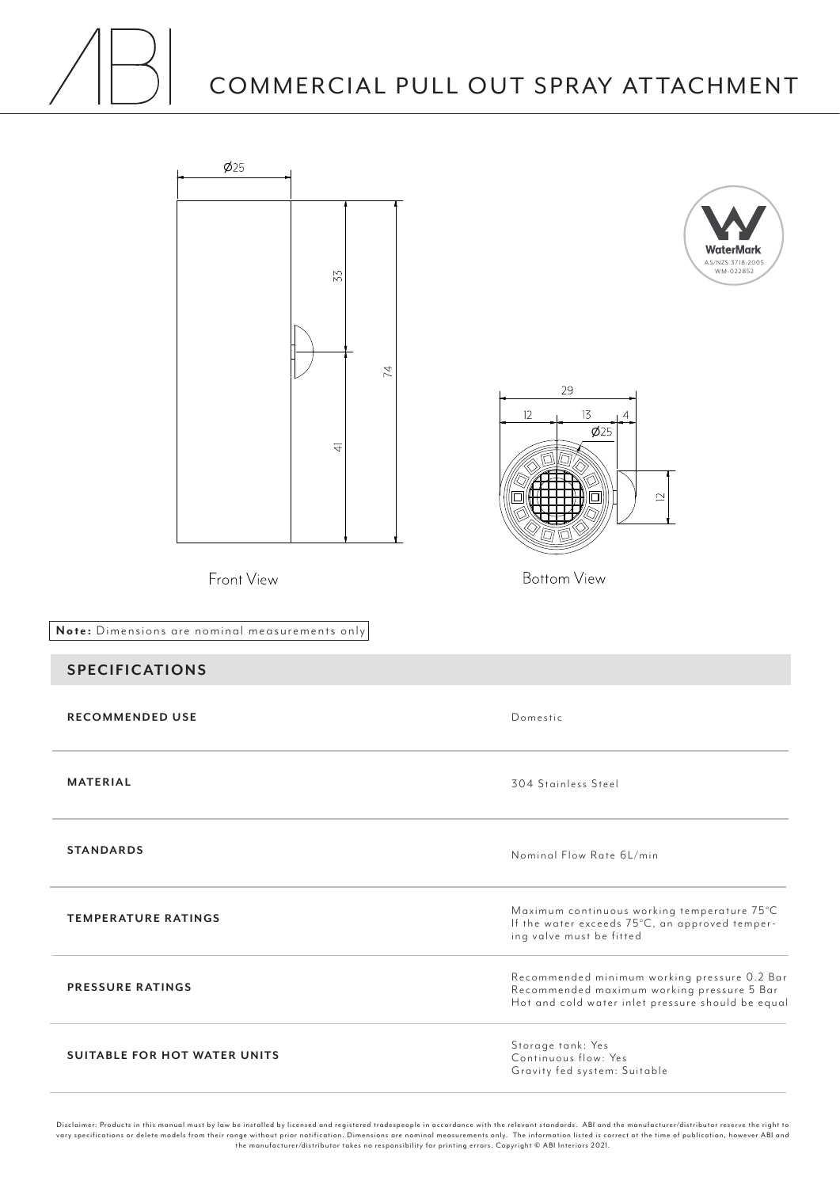## COMMERCIAL PULL OUT SPRAY ATTACHMENT



Disclaimer: Products in this manual must by law be installed by licensed and registered tradespeople in accordance with the relevant standards. ABI and the manufacturer/distributor reserve the right to vary specifications or delete models from their range without prior notification. Dimensions are nominal measurements only. The information listed is correct at the time of publication, however ABI and<br>the manufacturer/dis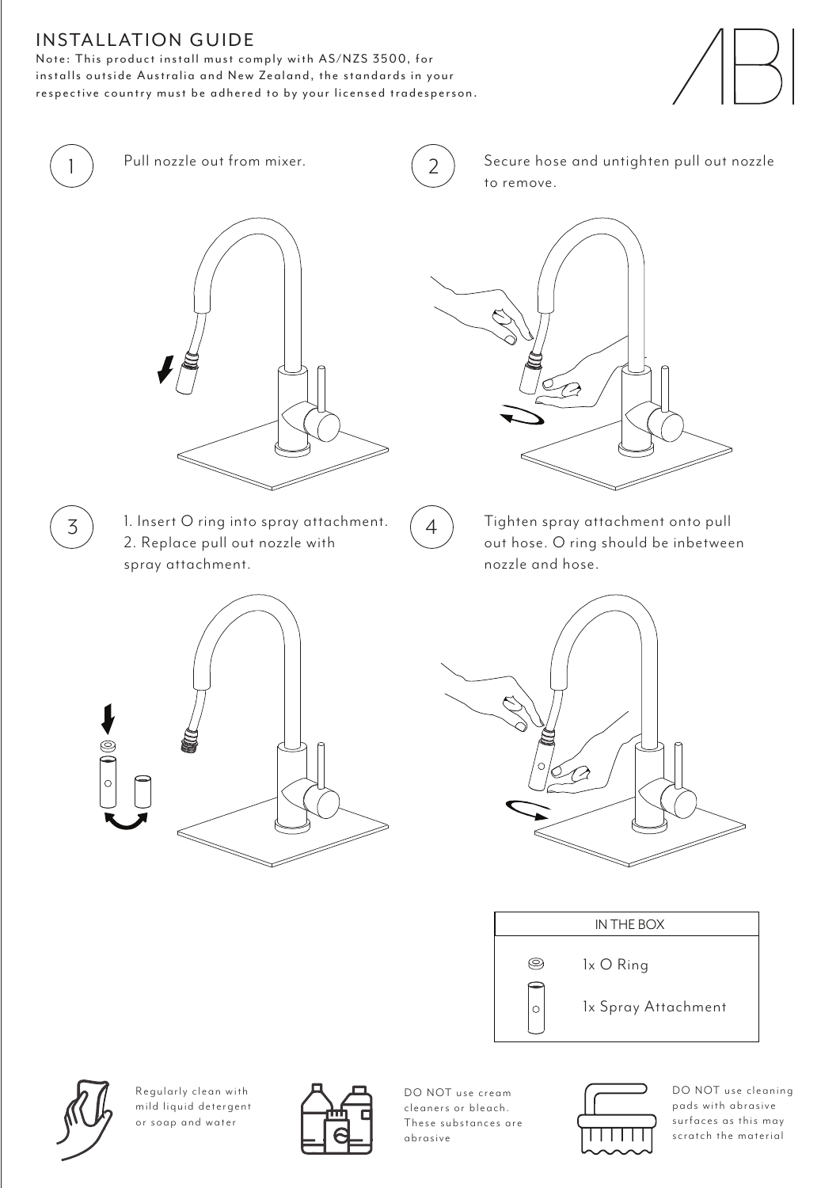## **INSTALLATION GUIDE**

Note: This product install must comply with AS/NZS 3500, for installs outside Australia and New Zealand, the standards in your respective country must be adhered to by your licensed tradesperson.







1 ) Pull nozzle out from mixer.  $(2)$  Secure hose and untighten pull out nozzle to remove.



- $\overline{3}$  ) 1. Insert O ring into spray attachment.  $\left(4\right)$ 2. Replace pull out nozzle with spray attachment.
- 



Tighten spray attachment onto pull out hose. O ring should be inbetween nozzle and hose.









Regularly clean with mild liquid detergent or soap and water



DO NOT use cream cleaners or bleach. These substances are abrasive



DO NOT use cleaning pads with abrasive surfaces as this may scratch the material